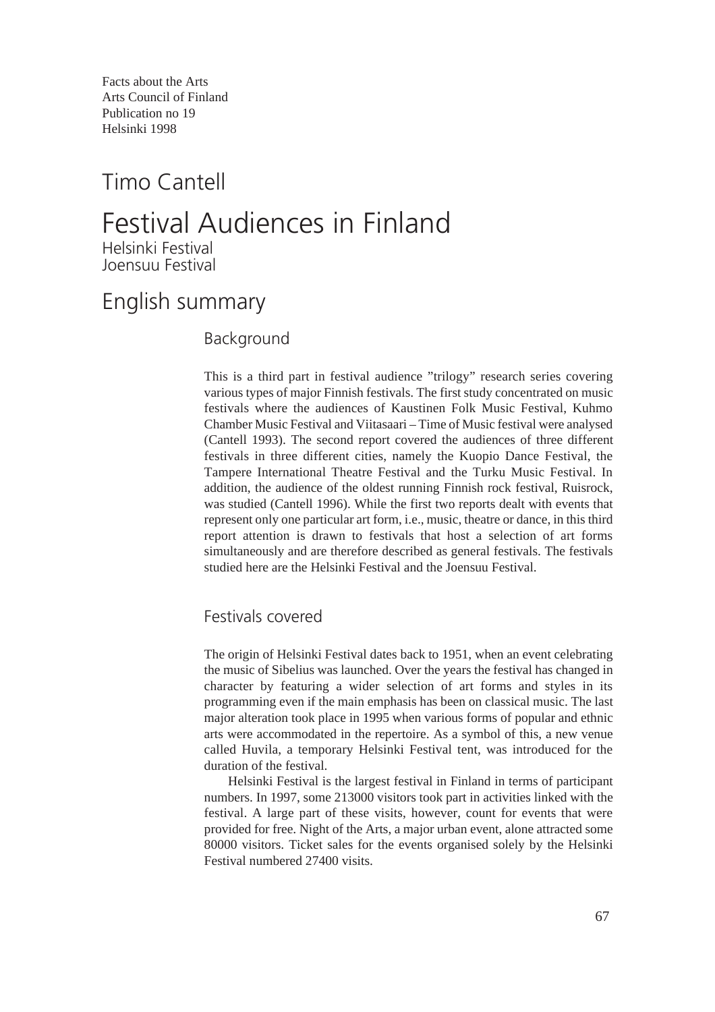Facts about the Arts Arts Council of Finland Publication no 19 Helsinki 1998

## Timo Cantell

# Festival Audiences in Finland

Helsinki Festival Joensuu Festival

## English summary

#### Background

This is a third part in festival audience "trilogy" research series covering various types of major Finnish festivals. The first study concentrated on music festivals where the audiences of Kaustinen Folk Music Festival, Kuhmo Chamber Music Festival and Viitasaari – Time of Music festival were analysed (Cantell 1993). The second report covered the audiences of three different festivals in three different cities, namely the Kuopio Dance Festival, the Tampere International Theatre Festival and the Turku Music Festival. In addition, the audience of the oldest running Finnish rock festival, Ruisrock, was studied (Cantell 1996). While the first two reports dealt with events that represent only one particular art form, i.e., music, theatre or dance, in this third report attention is drawn to festivals that host a selection of art forms simultaneously and are therefore described as general festivals. The festivals studied here are the Helsinki Festival and the Joensuu Festival.

### Festivals covered

The origin of Helsinki Festival dates back to 1951, when an event celebrating the music of Sibelius was launched. Over the years the festival has changed in character by featuring a wider selection of art forms and styles in its programming even if the main emphasis has been on classical music. The last major alteration took place in 1995 when various forms of popular and ethnic arts were accommodated in the repertoire. As a symbol of this, a new venue called Huvila, a temporary Helsinki Festival tent, was introduced for the duration of the festival.

Helsinki Festival is the largest festival in Finland in terms of participant numbers. In 1997, some 213000 visitors took part in activities linked with the festival. A large part of these visits, however, count for events that were provided for free. Night of the Arts, a major urban event, alone attracted some 80000 visitors. Ticket sales for the events organised solely by the Helsinki Festival numbered 27400 visits.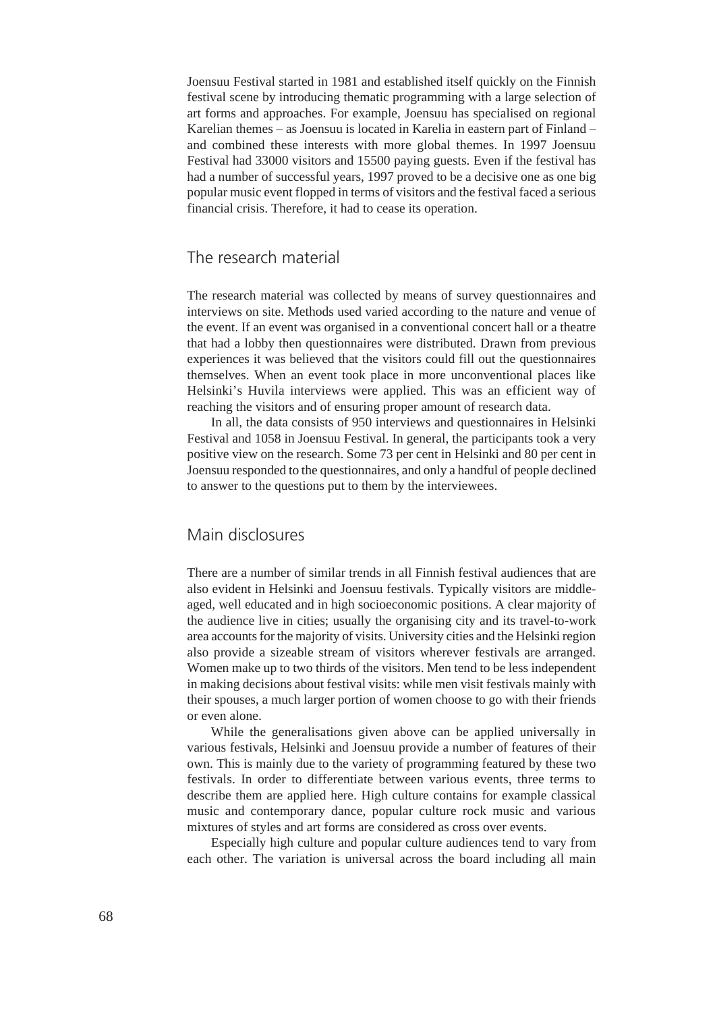Joensuu Festival started in 1981 and established itself quickly on the Finnish festival scene by introducing thematic programming with a large selection of art forms and approaches. For example, Joensuu has specialised on regional Karelian themes – as Joensuu is located in Karelia in eastern part of Finland – and combined these interests with more global themes. In 1997 Joensuu Festival had 33000 visitors and 15500 paying guests. Even if the festival has had a number of successful years, 1997 proved to be a decisive one as one big popular music event flopped in terms of visitors and the festival faced a serious financial crisis. Therefore, it had to cease its operation.

#### The research material

The research material was collected by means of survey questionnaires and interviews on site. Methods used varied according to the nature and venue of the event. If an event was organised in a conventional concert hall or a theatre that had a lobby then questionnaires were distributed. Drawn from previous experiences it was believed that the visitors could fill out the questionnaires themselves. When an event took place in more unconventional places like Helsinki's Huvila interviews were applied. This was an efficient way of reaching the visitors and of ensuring proper amount of research data.

In all, the data consists of 950 interviews and questionnaires in Helsinki Festival and 1058 in Joensuu Festival. In general, the participants took a very positive view on the research. Some 73 per cent in Helsinki and 80 per cent in Joensuu responded to the questionnaires, and only a handful of people declined to answer to the questions put to them by the interviewees.

#### Main disclosures

There are a number of similar trends in all Finnish festival audiences that are also evident in Helsinki and Joensuu festivals. Typically visitors are middleaged, well educated and in high socioeconomic positions. A clear majority of the audience live in cities; usually the organising city and its travel-to-work area accounts for the majority of visits. University cities and the Helsinki region also provide a sizeable stream of visitors wherever festivals are arranged. Women make up to two thirds of the visitors. Men tend to be less independent in making decisions about festival visits: while men visit festivals mainly with their spouses, a much larger portion of women choose to go with their friends or even alone.

While the generalisations given above can be applied universally in various festivals, Helsinki and Joensuu provide a number of features of their own. This is mainly due to the variety of programming featured by these two festivals. In order to differentiate between various events, three terms to describe them are applied here. High culture contains for example classical music and contemporary dance, popular culture rock music and various mixtures of styles and art forms are considered as cross over events.

Especially high culture and popular culture audiences tend to vary from each other. The variation is universal across the board including all main